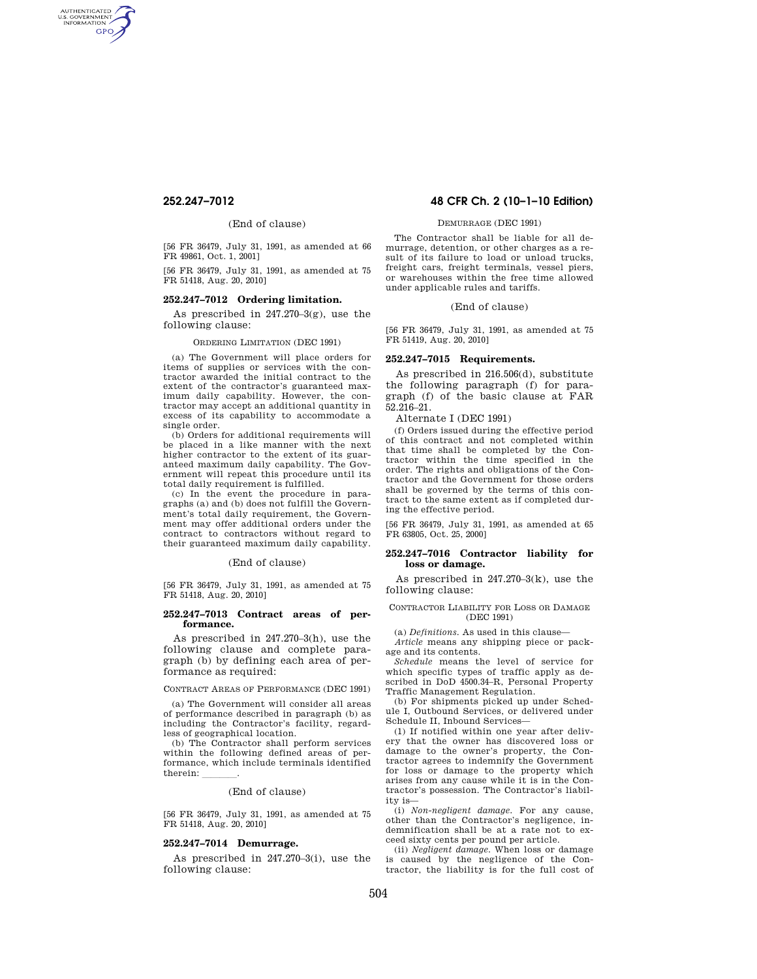AUTHENTICATED<br>U.S. GOVERNMENT<br>INFORMATION **GPO** 

# (End of clause)

[56 FR 36479, July 31, 1991, as amended at 66 FR 49861, Oct. 1, 2001]

[56 FR 36479, July 31, 1991, as amended at 75 FR 51418, Aug. 20, 2010]

# **252.247–7012 Ordering limitation.**

As prescribed in 247.270–3(g), use the following clause:

## ORDERING LIMITATION (DEC 1991)

(a) The Government will place orders for items of supplies or services with the contractor awarded the initial contract to the extent of the contractor's guaranteed maximum daily capability. However, the contractor may accept an additional quantity in excess of its capability to accommodate a single order.

(b) Orders for additional requirements will be placed in a like manner with the next higher contractor to the extent of its guaranteed maximum daily capability. The Government will repeat this procedure until its total daily requirement is fulfilled.

(c) In the event the procedure in paragraphs (a) and (b) does not fulfill the Government's total daily requirement, the Government may offer additional orders under the contract to contractors without regard to their guaranteed maximum daily capability.

### (End of clause)

[56 FR 36479, July 31, 1991, as amended at 75 FR 51418, Aug. 20, 2010]

## **252.247–7013 Contract areas of performance.**

As prescribed in 247.270–3(h), use the following clause and complete paragraph (b) by defining each area of performance as required:

CONTRACT AREAS OF PERFORMANCE (DEC 1991)

(a) The Government will consider all areas of performance described in paragraph (b) as including the Contractor's facility, regardless of geographical location.

(b) The Contractor shall perform services within the following defined areas of performance, which include terminals identified therein:

## (End of clause)

[56 FR 36479, July 31, 1991, as amended at 75 FR 51418, Aug. 20, 2010]

## **252.247–7014 Demurrage.**

As prescribed in 247.270–3(i), use the following clause:

# **252.247–7012 48 CFR Ch. 2 (10–1–10 Edition)**

# DEMURRAGE (DEC 1991)

The Contractor shall be liable for all demurrage, detention, or other charges as a result of its failure to load or unload trucks, freight cars, freight terminals, vessel piers, or warehouses within the free time allowed under applicable rules and tariffs.

## (End of clause)

[56 FR 36479, July 31, 1991, as amended at 75 FR 51419, Aug. 20, 2010]

# **252.247–7015 Requirements.**

As prescribed in 216.506(d), substitute the following paragraph (f) for paragraph (f) of the basic clause at FAR 52.216–21.

Alternate I (DEC 1991)

(f) Orders issued during the effective period of this contract and not completed within that time shall be completed by the Contractor within the time specified in the order. The rights and obligations of the Contractor and the Government for those orders shall be governed by the terms of this contract to the same extent as if completed during the effective period.

[56 FR 36479, July 31, 1991, as amended at 65 FR 63805, Oct. 25, 2000]

### **252.247–7016 Contractor liability for loss or damage.**

As prescribed in 247.270–3(k), use the following clause:

CONTRACTOR LIABILITY FOR LOSS OR DAMAGE (DEC 1991)

(a) *Definitions.* As used in this clause—

*Article* means any shipping piece or package and its contents.

*Schedule* means the level of service for which specific types of traffic apply as described in DoD 4500.34–R, Personal Property Traffic Management Regulation.

(b) For shipments picked up under Schedule I, Outbound Services, or delivered under Schedule II, Inbound Services—

(1) If notified within one year after delivery that the owner has discovered loss or damage to the owner's property, the Contractor agrees to indemnify the Government for loss or damage to the property which arises from any cause while it is in the Contractor's possession. The Contractor's liability is—

(i) *Non-negligent damage.* For any cause, other than the Contractor's negligence, indemnification shall be at a rate not to exceed sixty cents per pound per article.

(ii) *Negligent damage.* When loss or damage is caused by the negligence of the Contractor, the liability is for the full cost of